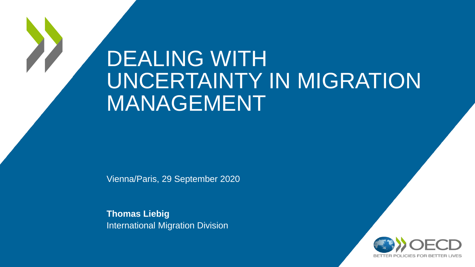# DEALING WITH UNCERTAINTY IN MIGRATION MANAGEMENT

Vienna/Paris, 29 September 2020

**Thomas Liebig** International Migration Division

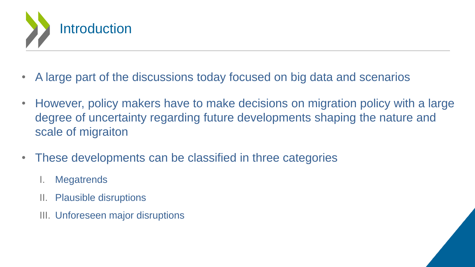

- A large part of the discussions today focused on big data and scenarios
- However, policy makers have to make decisions on migration policy with a large degree of uncertainty regarding future developments shaping the nature and scale of migraiton
- These developments can be classified in three categories
	- I. Megatrends
	- II. Plausible disruptions
	- III. Unforeseen major disruptions

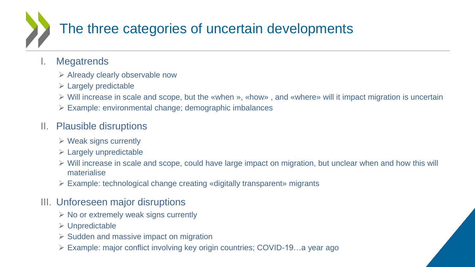## The three categories of uncertain developments

#### I. Megatrends

- $\triangleright$  Already clearly observable now
- $\triangleright$  Largely predictable
- ➢ Will increase in scale and scope, but the «when », «how» , and «where» will it impact migration is uncertain
- ➢ Example: environmental change; demographic imbalances

#### II. Plausible disruptions

- $\triangleright$  Weak signs currently
- $\triangleright$  Largely unpredictable
- ➢ Will increase in scale and scope, could have large impact on migration, but unclear when and how this will materialise
- ➢ Example: technological change creating «digitally transparent» migrants

#### III. Unforeseen major disruptions

- $\triangleright$  No or extremely weak signs currently
- ➢ Unpredictable
- $\triangleright$  Sudden and massive impact on migration
- ➢ Example: major conflict involving key origin countries; COVID-19…a year ago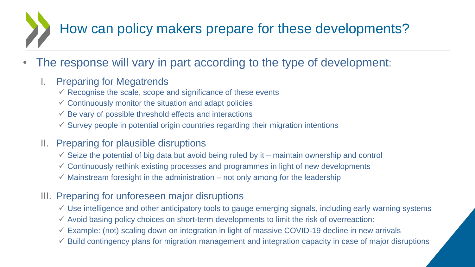# How can policy makers prepare for these developments?

The response will vary in part according to the type of development:

#### I. Preparing for Megatrends

- $\checkmark$  Recognise the scale, scope and significance of these events
- $\checkmark$  Continuously monitor the situation and adapt policies
- $\checkmark$  Be vary of possible threshold effects and interactions
- $\checkmark$  Survey people in potential origin countries regarding their migration intentions
- II. Preparing for plausible disruptions
	- $\checkmark$  Seize the potential of big data but avoid being ruled by it maintain ownership and control
	- $\checkmark$  Continuously rethink existing processes and programmes in light of new developments
	- $\checkmark$  Mainstream foresight in the administration not only among for the leadership
- III. Preparing for unforeseen major disruptions
	- $\checkmark$  Use intelligence and other anticipatory tools to gauge emerging signals, including early warning systems
	- $\checkmark$  Avoid basing policy choices on short-term developments to limit the risk of overreaction:
	- $\checkmark$  Example: (not) scaling down on integration in light of massive COVID-19 decline in new arrivals
	- $\checkmark$  Build contingency plans for migration management and integration capacity in case of major disruptions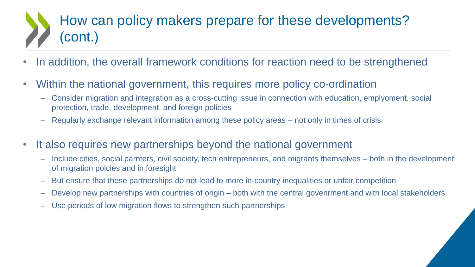### How can policy makers prepare for these developments? (cont.)

- In addition, the overall framework conditions for reaction need to be strengthened
- Within the national government, this requires more policy co-ordination
	- Consider migration and integration as a cross-cutting issue in connection with education, emplyoment, social protection, trade, development, and foreign policies
	- Regularly exchange relevant information among these policy areas not only in times of crisis
- It also requires new partnerships beyond the national government
	- Include cities, social parnters, civil society, tech entrepreneurs, and migrants themselves both in the development of migration polcies and in foresight
	- But ensure that these partnerships do not lead to more in-country inequalities or unfair competition
	- Develop new partnerships with countries of origin both with the central govenrment and with local stakeholders
	- Use periods of low migration flows to strengthen such partnerships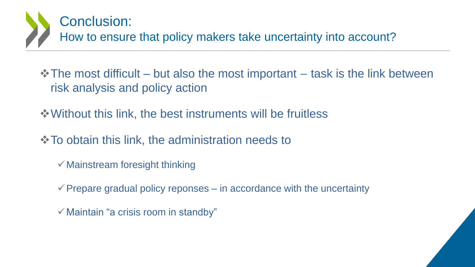

❖The most difficult – but also the most important – task is the link between risk analysis and policy action

❖Without this link, the best instruments will be fruitless

❖To obtain this link, the administration needs to

 $\checkmark$  Mainstream foresight thinking

 $\checkmark$  Prepare gradual policy reponses – in accordance with the uncertainty

 $\checkmark$  Maintain "a crisis room in standby"